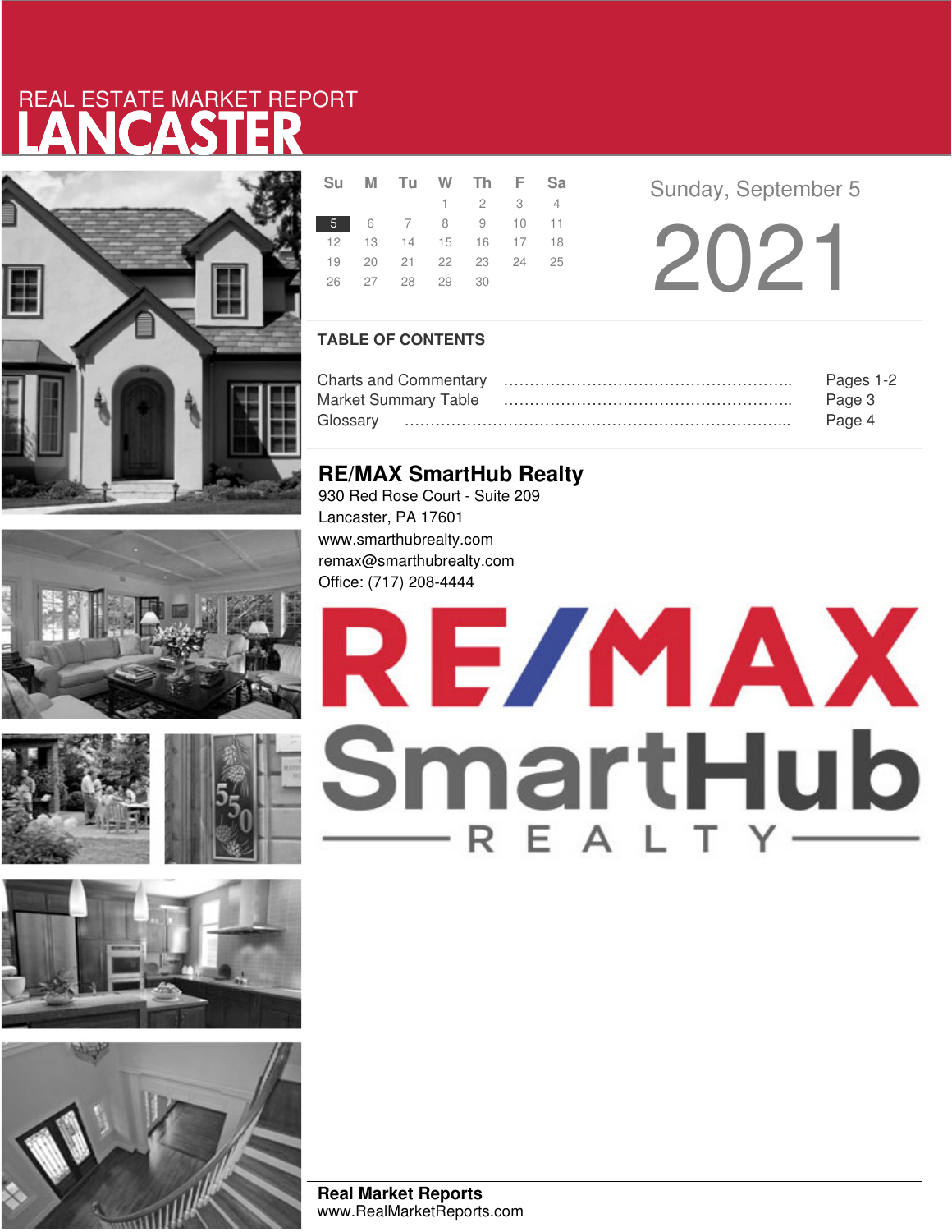# LANCASTER REAL ESTATE MARKET REPORT













|  | Su M Tu W Th F Sa          |                             |  |  |
|--|----------------------------|-----------------------------|--|--|
|  |                            | $1 \quad 2 \quad 3 \quad 4$ |  |  |
|  | 5 6 7 8 9 10 11            |                             |  |  |
|  | 12  13  14  15  16  17  18 |                             |  |  |
|  | 19 20 21 22 23 24 25       |                             |  |  |
|  | 26 27 28 29 30             |                             |  |  |
|  |                            |                             |  |  |

**Sunday, September 5** 

2021

## **TABLE OF CONTENTS**

|                             | Pages 1-2 |
|-----------------------------|-----------|
| <b>Market Summary Table</b> | Page 3    |
| Glossarv                    | Page 4    |

# **RE/MAX SmartHub Realty**

930 Red Rose Court - Suite 209 Lancaster, PA 17601 www.smarthubrealty.com remax@smarthubrealty.com Office: (717) 208-4444

# RE/MAX SmartHub

**Real Market Reports** www.RealMarketReports.com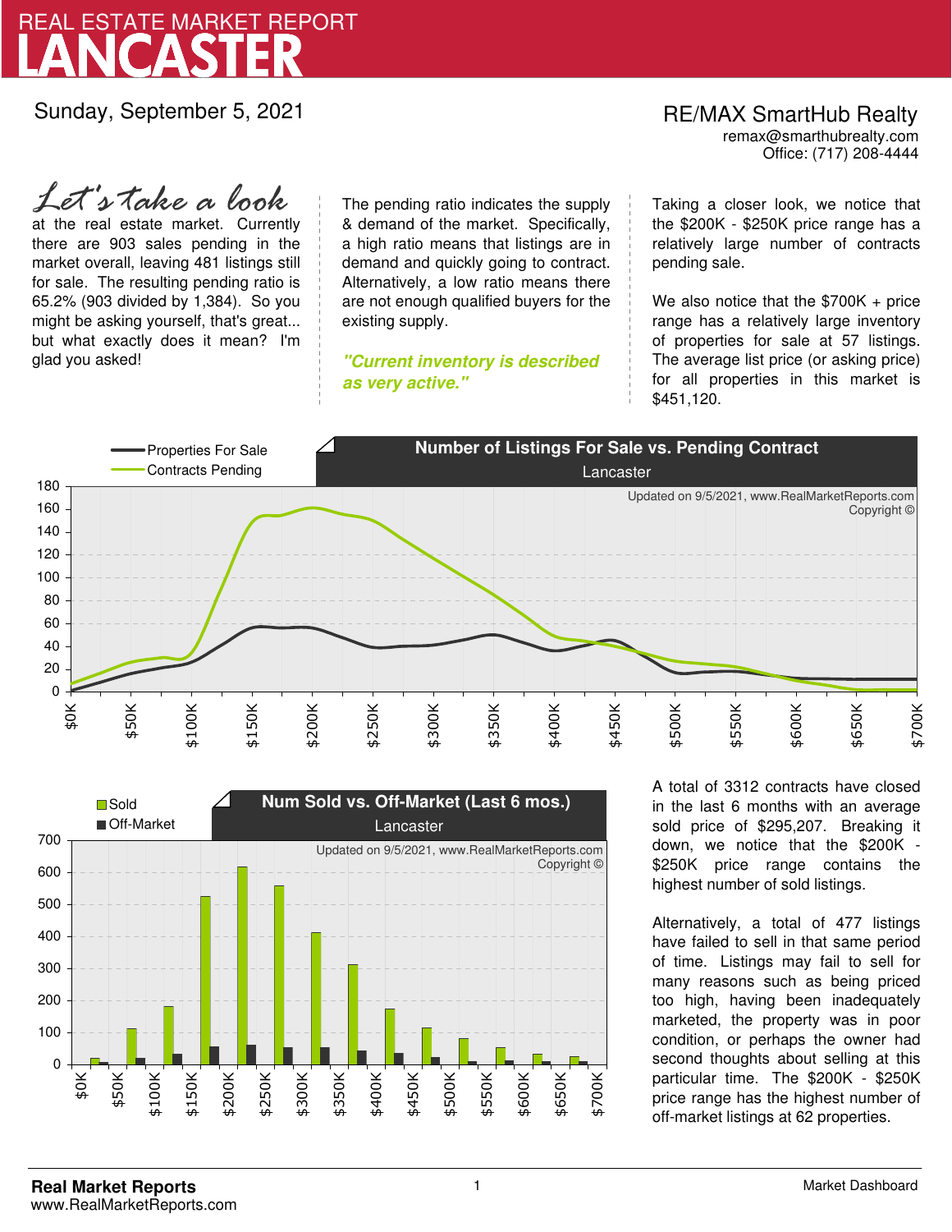

Sunday, September 5, 2021

at the real estate market. Currently there are 903 sales pending in the market overall, leaving 481 listings still for sale. The resulting pending ratio is 65.2% (903 divided by 1,384). So you might be asking yourself, that's great... but what exactly does it mean? I'm glad you asked! *Let's take a look*

The pending ratio indicates the supply & demand of the market. Specifically, a high ratio means that listings are in demand and quickly going to contract. Alternatively, a low ratio means there are not enough qualified buyers for the existing supply.

**"Current inventory is described as very active."**

Office: (717) 208-4444 RE/MAX SmartHub Realty remax@smarthubrealty.com

Taking a closer look, we notice that the \$200K - \$250K price range has a relatively large number of contracts pending sale.

We also notice that the \$700K + price range has a relatively large inventory of properties for sale at 57 listings. The average list price (or asking price) for all properties in this market is \$451,120.





A total of 3312 contracts have closed in the last 6 months with an average sold price of \$295,207. Breaking it down, we notice that the \$200K - \$250K price range contains the highest number of sold listings.

Alternatively, a total of 477 listings have failed to sell in that same period of time. Listings may fail to sell for many reasons such as being priced too high, having been inadequately marketed, the property was in poor condition, or perhaps the owner had second thoughts about selling at this particular time. The \$200K - \$250K price range has the highest number of off-market listings at 62 properties.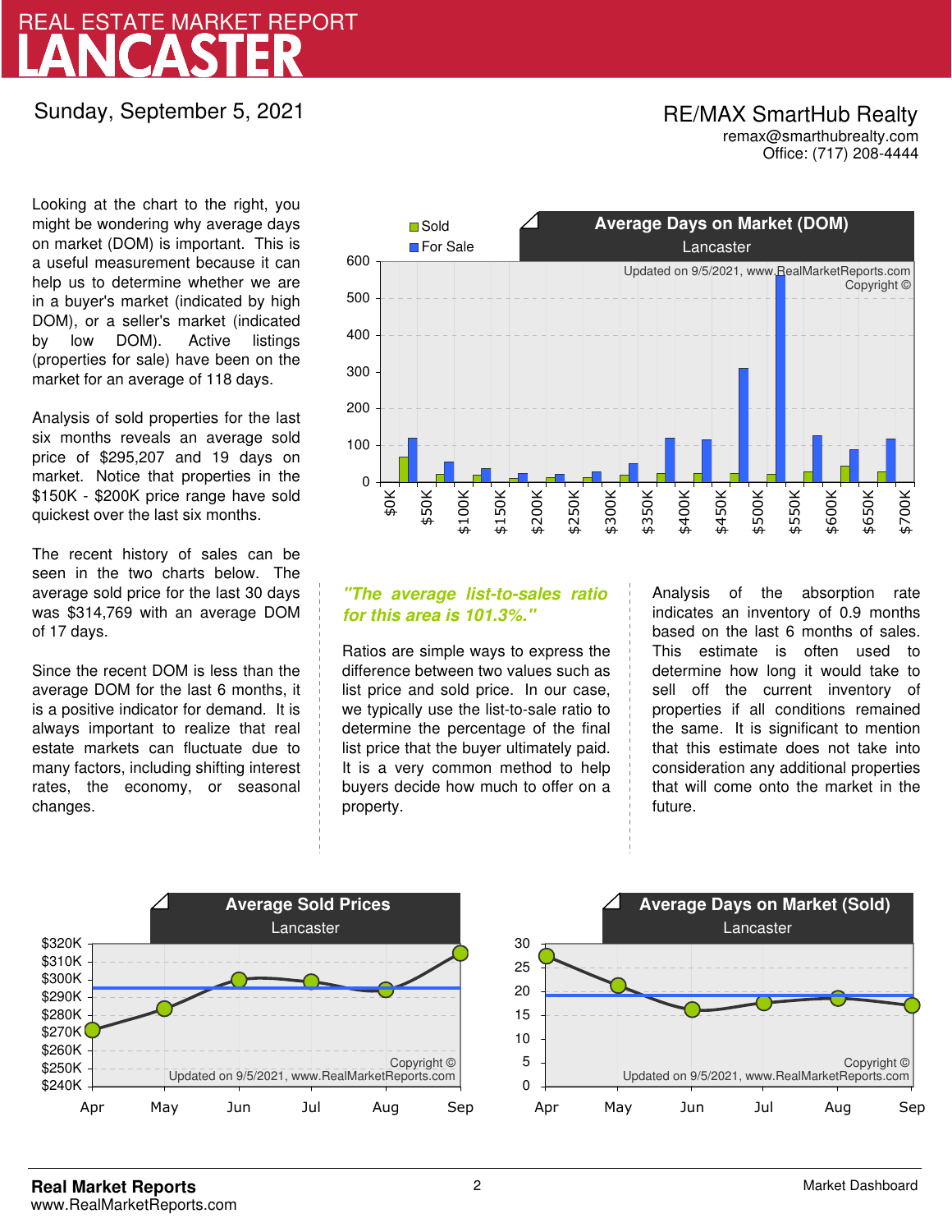# LANCASTER REAL ESTATE MARKET REPORT

Sunday, September 5, 2021

## Office: (717) 208-4444 RE/MAX SmartHub Realty remax@smarthubrealty.com

Looking at the chart to the right, you might be wondering why average days on market (DOM) is important. This is a useful measurement because it can help us to determine whether we are in a buyer's market (indicated by high DOM), or a seller's market (indicated by low DOM). Active listings (properties for sale) have been on the market for an average of 118 days.

Analysis of sold properties for the last six months reveals an average sold price of \$295,207 and 19 days on market. Notice that properties in the \$150K - \$200K price range have sold quickest over the last six months.

The recent history of sales can be seen in the two charts below. The average sold price for the last 30 days was \$314,769 with an average DOM of 17 days.

Since the recent DOM is less than the average DOM for the last 6 months, it is a positive indicator for demand. It is always important to realize that real estate markets can fluctuate due to many factors, including shifting interest rates, the economy, or seasonal changes.



# **"The average list-to-sales ratio for this area is 101.3%."**

Ratios are simple ways to express the difference between two values such as list price and sold price. In our case, we typically use the list-to-sale ratio to determine the percentage of the final list price that the buyer ultimately paid. It is a very common method to help buyers decide how much to offer on a property.

Analysis of the absorption rate indicates an inventory of 0.9 months based on the last 6 months of sales. This estimate is often used to determine how long it would take to sell off the current inventory of properties if all conditions remained the same. It is significant to mention that this estimate does not take into consideration any additional properties that will come onto the market in the future.



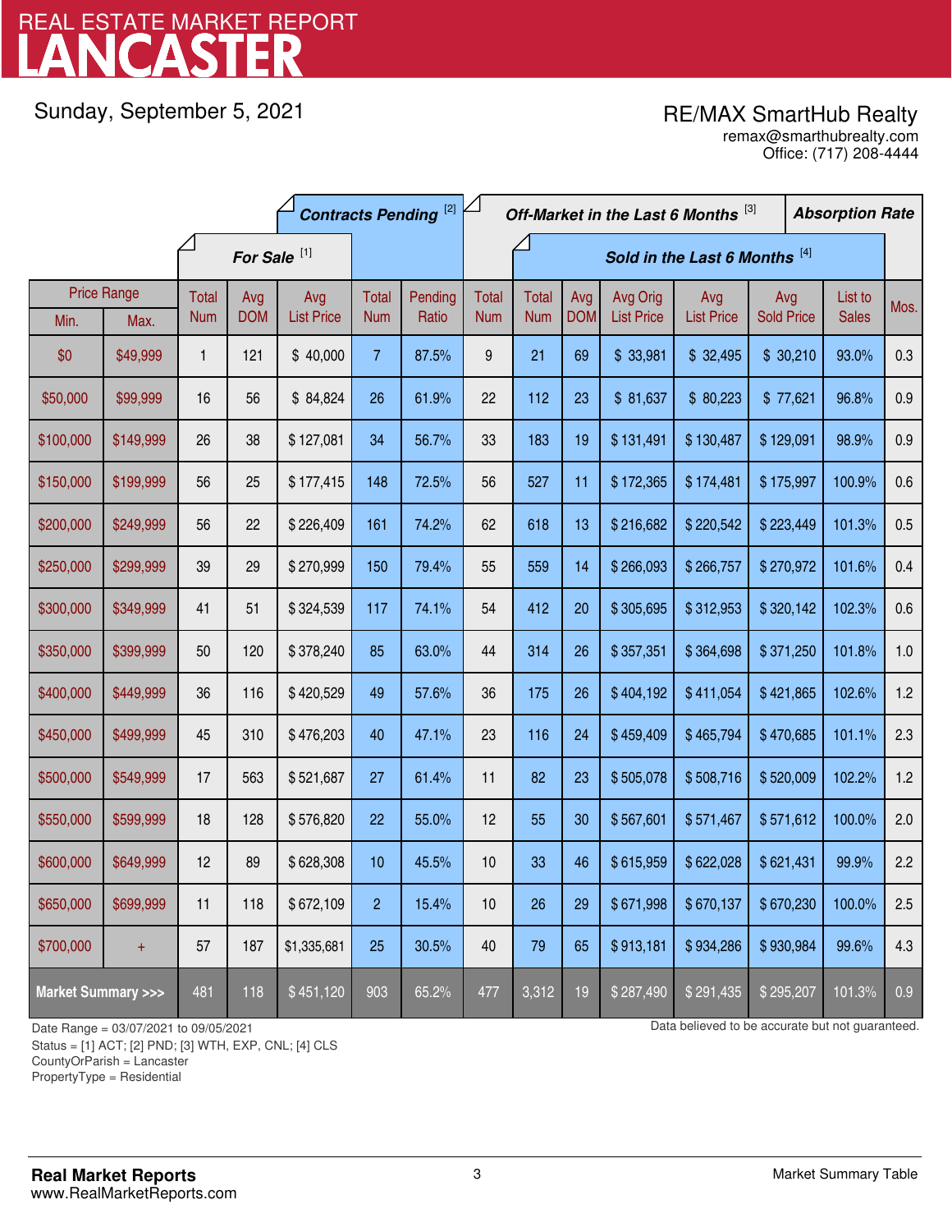# LANCASTER REAL ESTATE MARKET REPORT

Sunday, September 5, 2021

# RE/MAX SmartHub Realty

Office: (717) 208-4444 remax@smarthubrealty.com

|                                    |                    | <b>Contracts Pending [2]</b> |            |                   | Off-Market in the Last 6 Months [3] |                               |              |              |            |                   | <b>Absorption Rate</b> |                   |  |              |      |
|------------------------------------|--------------------|------------------------------|------------|-------------------|-------------------------------------|-------------------------------|--------------|--------------|------------|-------------------|------------------------|-------------------|--|--------------|------|
|                                    |                    | For Sale <sup>[1]</sup>      |            |                   |                                     | Sold in the Last 6 Months [4] |              |              |            |                   |                        |                   |  |              |      |
|                                    | <b>Price Range</b> | Total                        | Avg        | Avg               | Total                               | Pending                       | <b>Total</b> | <b>Total</b> | Avg        | Avg Orig          | Avg                    | Avg               |  | List to      | Mos. |
| Min.                               | Max.               | <b>Num</b>                   | <b>DOM</b> | <b>List Price</b> | <b>Num</b>                          | Ratio                         | <b>Num</b>   | <b>Num</b>   | <b>DOM</b> | <b>List Price</b> | <b>List Price</b>      | <b>Sold Price</b> |  | <b>Sales</b> |      |
| \$0                                | \$49,999           | $\mathbf{1}$                 | 121        | \$40,000          | $\overline{7}$                      | 87.5%                         | 9            | 21           | 69         | \$33,981          | \$32,495               | \$30,210          |  | 93.0%        | 0.3  |
| \$50,000                           | \$99,999           | 16                           | 56         | \$84,824          | 26                                  | 61.9%                         | 22           | 112          | 23         | \$81,637          | \$80,223               | \$77,621          |  | 96.8%        | 0.9  |
| \$100,000                          | \$149,999          | 26                           | 38         | \$127,081         | 34                                  | 56.7%                         | 33           | 183          | 19         | \$131,491         | \$130,487              | \$129,091         |  | 98.9%        | 0.9  |
| \$150,000                          | \$199,999          | 56                           | 25         | \$177,415         | 148                                 | 72.5%                         | 56           | 527          | 11         | \$172,365         | \$174,481              | \$175,997         |  | 100.9%       | 0.6  |
| \$200,000                          | \$249,999          | 56                           | 22         | \$226,409         | 161                                 | 74.2%                         | 62           | 618          | 13         | \$216,682         | \$220,542              | \$223,449         |  | 101.3%       | 0.5  |
| \$250,000                          | \$299,999          | 39                           | 29         | \$270,999         | 150                                 | 79.4%                         | 55           | 559          | 14         | \$266,093         | \$266,757              | \$270,972         |  | 101.6%       | 0.4  |
| \$300,000                          | \$349,999          | 41                           | 51         | \$324,539         | 117                                 | 74.1%                         | 54           | 412          | 20         | \$305,695         | \$312,953              | \$320,142         |  | 102.3%       | 0.6  |
| \$350,000                          | \$399,999          | 50                           | 120        | \$378,240         | 85                                  | 63.0%                         | 44           | 314          | 26         | \$357,351         | \$364,698              | \$371,250         |  | 101.8%       | 1.0  |
| \$400,000                          | \$449,999          | 36                           | 116        | \$420,529         | 49                                  | 57.6%                         | 36           | 175          | 26         | \$404,192         | \$411,054              | \$421,865         |  | 102.6%       | 1.2  |
| \$450,000                          | \$499,999          | 45                           | 310        | \$476,203         | 40                                  | 47.1%                         | 23           | 116          | 24         | \$459,409         | \$465,794              | \$470,685         |  | 101.1%       | 2.3  |
| \$500,000                          | \$549,999          | 17                           | 563        | \$521,687         | 27                                  | 61.4%                         | 11           | 82           | 23         | \$505,078         | \$508,716              | \$520,009         |  | 102.2%       | 1.2  |
| \$550,000                          | \$599,999          | 18                           | 128        | \$576,820         | 22                                  | 55.0%                         | 12           | 55           | 30         | \$567,601         | \$571,467              | \$571,612         |  | 100.0%       | 2.0  |
| \$600,000                          | \$649,999          | 12                           | 89         | \$628,308         | 10                                  | 45.5%                         | 10           | 33           | 46         | \$615,959         | \$622,028              | \$621,431         |  | 99.9%        | 2.2  |
| \$650,000                          | \$699,999          | 11                           | 118        | \$672,109         | $\overline{c}$                      | 15.4%                         | 10           | 26           | 29         | \$671,998         | \$670,137              | \$670,230         |  | 100.0%       | 2.5  |
| \$700,000                          | $\ddot{}$          | 57                           | 187        | \$1,335,681       | 25                                  | 30.5%                         | 40           | 79           | 65         | \$913,181         | \$934,286              | \$930,984         |  | 99.6%        | 4.3  |
| <b>Market Summary &gt;&gt;&gt;</b> |                    | 481                          | 118        | \$451,120         | 903                                 | 65.2%                         | 477          | 3,312        | 19         | \$287,490         | \$291,435              | \$295,207         |  | 101.3%       | 0.9  |

Status = [1] ACT; [2] PND; [3] WTH, EXP, CNL; [4] CLS

CountyOrParish = Lancaster

PropertyType = Residential

1

Date Range = 03/07/2021 to 09/05/2021 009/05/2021 Data believed to be accurate but not guaranteed.